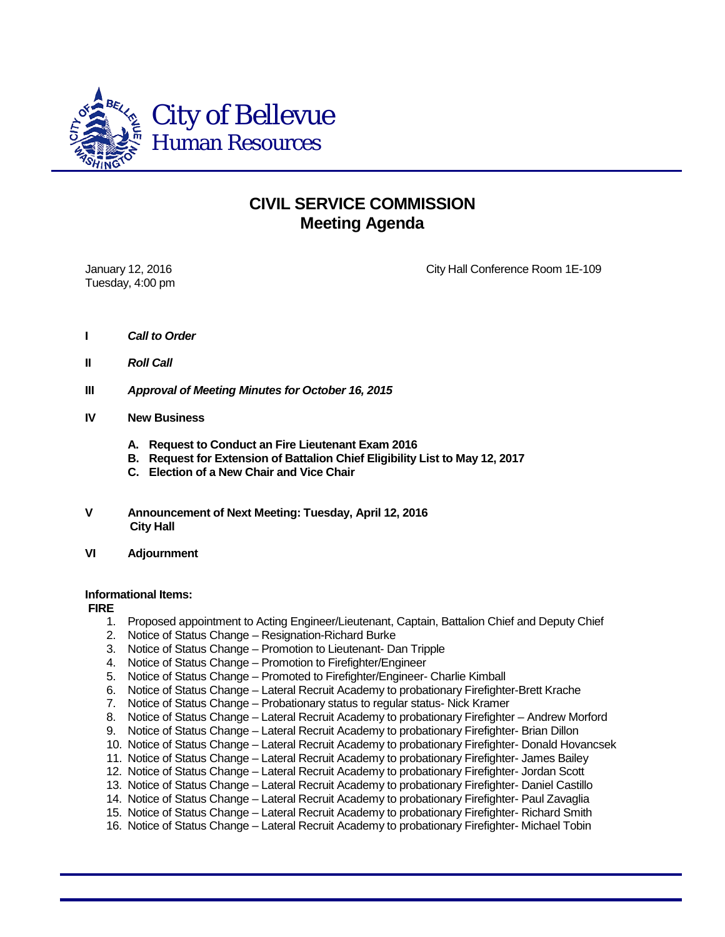

## **CIVIL SERVICE COMMISSION Meeting Agenda**

Tuesday, 4:00 pm

January 12, 2016 City Hall Conference Room 1E-109

- **I** *Call to Order*
- **II** *Roll Call*
- **III** *Approval of Meeting Minutes for October 16, 2015*
- **IV New Business**
	- **A. Request to Conduct an Fire Lieutenant Exam 2016**
	- **B. Request for Extension of Battalion Chief Eligibility List to May 12, 2017**
	- **C. Election of a New Chair and Vice Chair**
- **V Announcement of Next Meeting: Tuesday, April 12, 2016 City Hall**
- **VI Adjournment**

## **Informational Items:**

**FIRE**

- 1. Proposed appointment to Acting Engineer/Lieutenant, Captain, Battalion Chief and Deputy Chief
- 2. Notice of Status Change Resignation-Richard Burke
- 3. Notice of Status Change Promotion to Lieutenant- Dan Tripple
- 4. Notice of Status Change Promotion to Firefighter/Engineer
- 5. Notice of Status Change Promoted to Firefighter/Engineer- Charlie Kimball
- 6. Notice of Status Change Lateral Recruit Academy to probationary Firefighter-Brett Krache
- 7. Notice of Status Change Probationary status to regular status- Nick Kramer
- 8. Notice of Status Change Lateral Recruit Academy to probationary Firefighter Andrew Morford
- 9. Notice of Status Change Lateral Recruit Academy to probationary Firefighter- Brian Dillon
- 10. Notice of Status Change Lateral Recruit Academy to probationary Firefighter- Donald Hovancsek
- 11. Notice of Status Change Lateral Recruit Academy to probationary Firefighter- James Bailey
- 12. Notice of Status Change Lateral Recruit Academy to probationary Firefighter- Jordan Scott
- 13. Notice of Status Change Lateral Recruit Academy to probationary Firefighter- Daniel Castillo
- 14. Notice of Status Change Lateral Recruit Academy to probationary Firefighter- Paul Zavaglia
- 15. Notice of Status Change Lateral Recruit Academy to probationary Firefighter- Richard Smith
- 16. Notice of Status Change Lateral Recruit Academy to probationary Firefighter- Michael Tobin